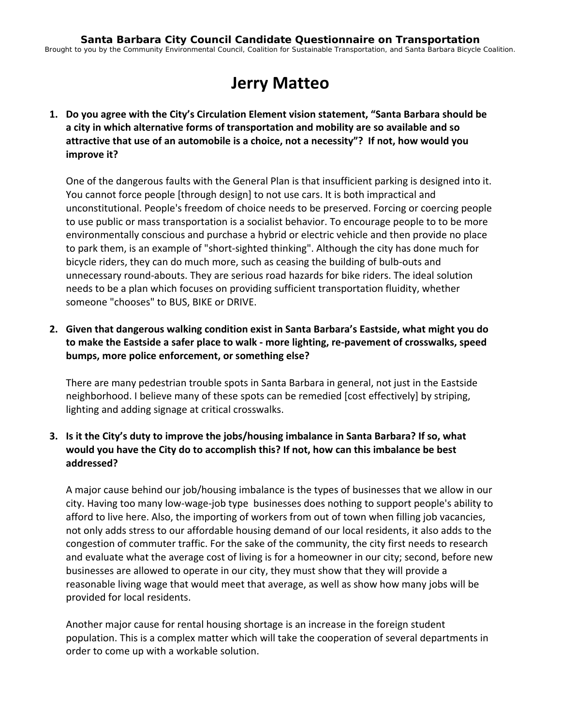# **Jerry Matteo**

**1. Do you agree with the City's Circulation Element vision statement, "Santa Barbara should be a city in which alternative forms of transportation and mobility are so available and so attractive that use of an automobile is a choice, not a necessity"? If not, how would you improve it?**

One of the dangerous faults with the General Plan is that insufficient parking is designed into it. You cannot force people [through design] to not use cars. It is both impractical and unconstitutional. People's freedom of choice needs to be preserved. Forcing or coercing people to use public or mass transportation is a socialist behavior. To encourage people to to be more environmentally conscious and purchase a hybrid or electric vehicle and then provide no place to park them, is an example of "short‐sighted thinking". Although the city has done much for bicycle riders, they can do much more, such as ceasing the building of bulb‐outs and unnecessary round‐abouts. They are serious road hazards for bike riders. The ideal solution needs to be a plan which focuses on providing sufficient transportation fluidity, whether someone "chooses" to BUS, BIKE or DRIVE.

**2. Given that dangerous walking condition exist in Santa Barbara's Eastside, what might you do to make the Eastside a safer place to walk ‐ more lighting, re‐pavement of crosswalks, speed bumps, more police enforcement, or something else?**

There are many pedestrian trouble spots in Santa Barbara in general, not just in the Eastside neighborhood. I believe many of these spots can be remedied [cost effectively] by striping, lighting and adding signage at critical crosswalks.

# **3. Is it the City's duty to improve the jobs/housing imbalance in Santa Barbara? If so, what would you have the City do to accomplish this? If not, how can this imbalance be best addressed?**

A major cause behind our job/housing imbalance is the types of businesses that we allow in our city. Having too many low-wage-job type businesses does nothing to support people's ability to afford to live here. Also, the importing of workers from out of town when filling job vacancies, not only adds stress to our affordable housing demand of our local residents, it also adds to the congestion of commuter traffic. For the sake of the community, the city first needs to research and evaluate what the average cost of living is for a homeowner in our city; second, before new businesses are allowed to operate in our city, they must show that they will provide a reasonable living wage that would meet that average, as well as show how many jobs will be provided for local residents.

Another major cause for rental housing shortage is an increase in the foreign student population. This is a complex matter which will take the cooperation of several departments in order to come up with a workable solution.